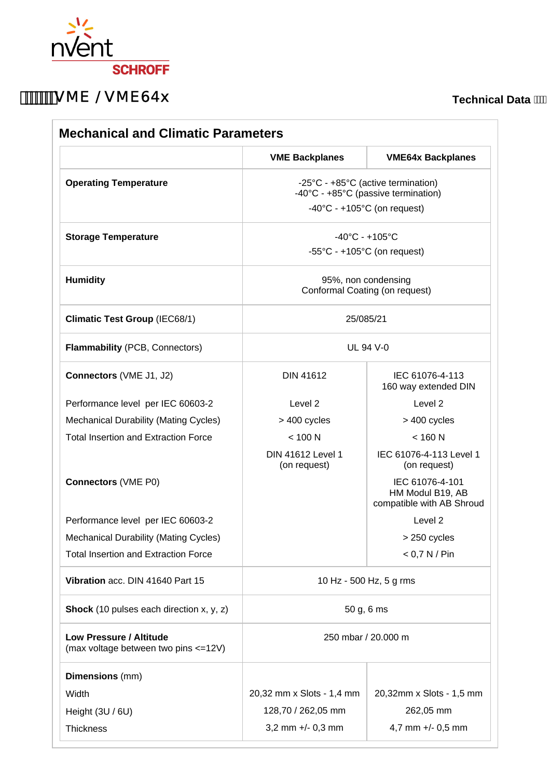

## **WHE / VME64x**

**Technical Data** 

|                                                                  | <b>VME Backplanes</b>                                                     | <b>VME64x Backplanes</b>                                         |
|------------------------------------------------------------------|---------------------------------------------------------------------------|------------------------------------------------------------------|
| <b>Operating Temperature</b>                                     | -25°C - +85°C (active termination)<br>-40°C - +85°C (passive termination) |                                                                  |
|                                                                  | $-40^{\circ}$ C - +105 $^{\circ}$ C (on request)                          |                                                                  |
| <b>Storage Temperature</b>                                       | $-40^{\circ}$ C - +105 $^{\circ}$ C                                       |                                                                  |
|                                                                  | $-55^{\circ}$ C - +105 $^{\circ}$ C (on request)                          |                                                                  |
| <b>Humidity</b>                                                  | 95%, non condensing<br>Conformal Coating (on request)                     |                                                                  |
| <b>Climatic Test Group (IEC68/1)</b>                             | 25/085/21                                                                 |                                                                  |
| Flammability (PCB, Connectors)                                   | <b>UL 94 V-0</b>                                                          |                                                                  |
| Connectors (VME J1, J2)                                          | <b>DIN 41612</b>                                                          | IEC 61076-4-113<br>160 way extended DIN                          |
| Performance level per IEC 60603-2                                | Level 2                                                                   | Level <sub>2</sub>                                               |
| <b>Mechanical Durability (Mating Cycles)</b>                     | > 400 cycles                                                              | > 400 cycles                                                     |
| <b>Total Insertion and Extraction Force</b>                      | < 100 N                                                                   | $<$ 160 N                                                        |
|                                                                  | <b>DIN 41612 Level 1</b><br>(on request)                                  | IEC 61076-4-113 Level 1<br>(on request)                          |
| <b>Connectors (VME P0)</b>                                       |                                                                           | IEC 61076-4-101<br>HM Modul B19, AB<br>compatible with AB Shroud |
| Performance level per IEC 60603-2                                |                                                                           | Level <sub>2</sub>                                               |
| <b>Mechanical Durability (Mating Cycles)</b>                     |                                                                           | > 250 cycles                                                     |
| <b>Total Insertion and Extraction Force</b>                      |                                                                           | < 0.7 N / Pin                                                    |
| Vibration acc. DIN 41640 Part 15                                 | 10 Hz - 500 Hz, 5 g rms                                                   |                                                                  |
| <b>Shock</b> (10 pulses each direction x, y, z)                  | 50 g, 6 ms                                                                |                                                                  |
| Low Pressure / Altitude<br>(max voltage between two pins <= 12V) | 250 mbar / 20.000 m                                                       |                                                                  |
| <b>Dimensions</b> (mm)                                           |                                                                           |                                                                  |
| Width                                                            | 20,32 mm x Slots - 1,4 mm                                                 | 20,32mm x Slots - 1,5 mm                                         |
| Height (3U / 6U)                                                 | 128,70 / 262,05 mm                                                        | 262,05 mm                                                        |
| <b>Thickness</b>                                                 | 3,2 mm $+/- 0,3$ mm                                                       | 4,7 mm $+/-$ 0,5 mm                                              |